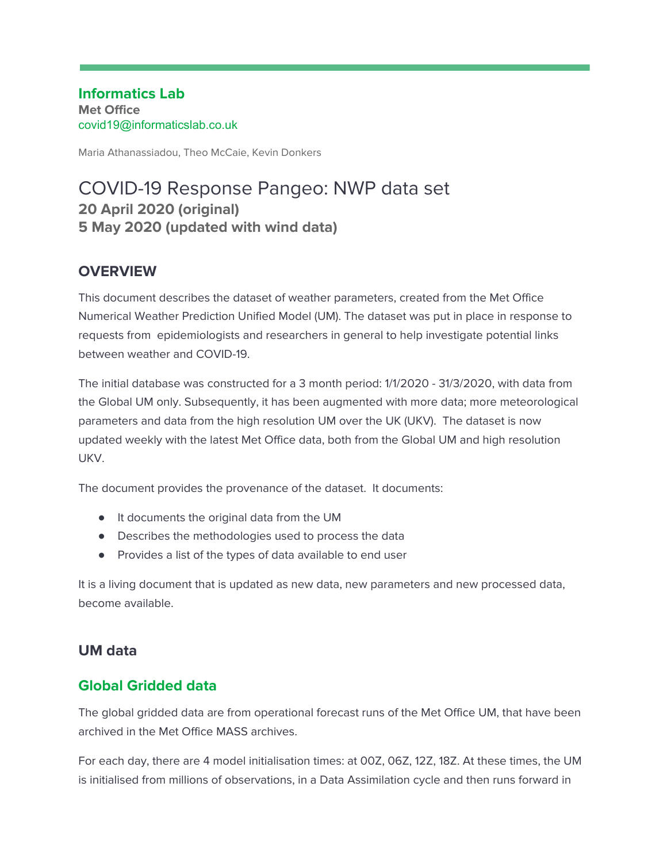**Informatics Lab Met Office** covid19@informaticslab.co.uk

Maria Athanassiadou, Theo McCaie, Kevin Donkers

# COVID-19 Response Pangeo: NWP data set **20 April 2020 (original) 5 May 2020 (updated with wind data)**

## **OVERVIEW**

This document describes the dataset of weather parameters, created from the Met Office Numerical Weather Prediction Unified Model (UM). The dataset was put in place in response to requests from epidemiologists and researchers in general to help investigate potential links between weather and COVID-19.

The initial database was constructed for a 3 month period: 1/1/2020 - 31/3/2020, with data from the Global UM only. Subsequently, it has been augmented with more data; more meteorological parameters and data from the high resolution UM over the UK (UKV). The dataset is now updated weekly with the latest Met Office data, both from the Global UM and high resolution UKV.

The document provides the provenance of the dataset. It documents:

- It documents the original data from the UM
- Describes the methodologies used to process the data
- Provides a list of the types of data available to end user

It is a living document that is updated as new data, new parameters and new processed data, become available.

## **UM data**

## **Global Gridded data**

The global gridded data are from operational forecast runs of the Met Office UM, that have been archived in the Met Office MASS archives.

For each day, there are 4 model initialisation times: at 00Z, 06Z, 12Z, 18Z. At these times, the UM is initialised from millions of observations, in a Data Assimilation cycle and then runs forward in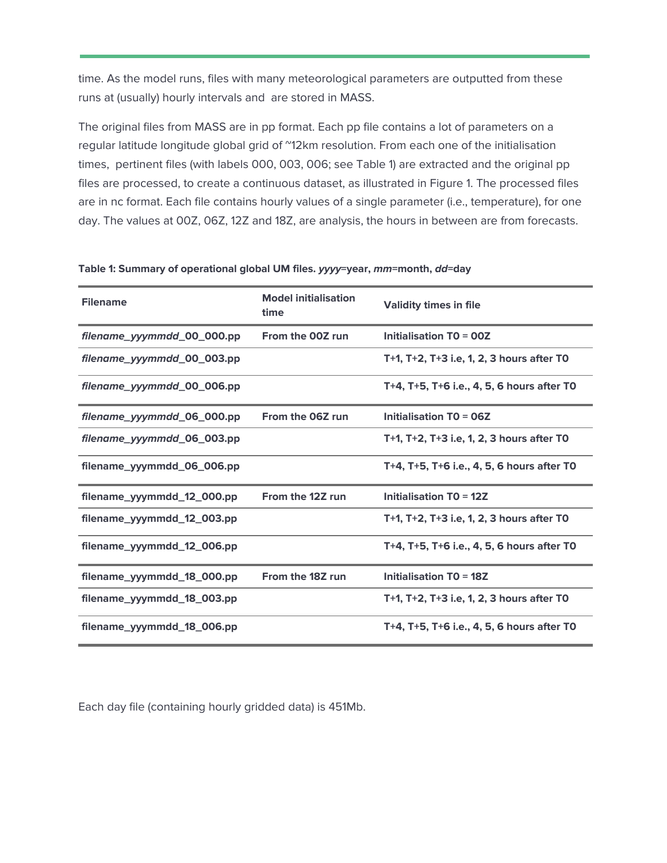time. As the model runs, files with many meteorological parameters are outputted from these runs at (usually) hourly intervals and are stored in MASS.

The original files from MASS are in pp format. Each pp file contains a lot of parameters on a regular latitude longitude global grid of "12km resolution. From each one of the initialisation times, pertinent files (with labels 000, 003, 006; see Table 1) are extracted and the original pp files are processed, to create a continuous dataset, as illustrated in Figure 1. The processed files are in nc format. Each file contains hourly values of a single parameter (i.e., temperature), for one day. The values at 00Z, 06Z, 12Z and 18Z, are analysis, the hours in between are from forecasts.

| <b>Filename</b>            | <b>Model initialisation</b><br>time | <b>Validity times in file</b>              |
|----------------------------|-------------------------------------|--------------------------------------------|
| filename_yyymmdd_00_000.pp | From the 00Z run                    | <b>Initialisation TO = 00Z</b>             |
| filename_yyymmdd_00_003.pp |                                     | T+1, T+2, T+3 i.e, 1, 2, 3 hours after TO  |
| filename_yyymmdd_00_006.pp |                                     | T+4, T+5, T+6 i.e., 4, 5, 6 hours after TO |
| filename_yyymmdd_06_000.pp | From the 06Z run                    | <b>Initialisation TO = 06Z</b>             |
| filename_yyymmdd_06_003.pp |                                     | T+1, T+2, T+3 i.e, 1, 2, 3 hours after TO  |
| filename_yyymmdd_06_006.pp |                                     | T+4, T+5, T+6 i.e., 4, 5, 6 hours after T0 |
| filename_yyymmdd_12_000.pp | From the 12Z run                    | <b>Initialisation TO = 12Z</b>             |
| filename_yyymmdd_12_003.pp |                                     | T+1, T+2, T+3 i.e, 1, 2, 3 hours after TO  |
| filename_yyymmdd_12_006.pp |                                     | T+4, T+5, T+6 i.e., 4, 5, 6 hours after TO |
| filename_yyymmdd_18_000.pp | From the 18Z run                    | <b>Initialisation TO = 18Z</b>             |
| filename_yyymmdd_18_003.pp |                                     | T+1, T+2, T+3 i.e, 1, 2, 3 hours after TO  |
| filename_yyymmdd_18_006.pp |                                     | T+4, T+5, T+6 i.e., 4, 5, 6 hours after TO |

**Table 1: Summary of operational global UM files. yyyy=year, mm=month, dd=day**

Each day file (containing hourly gridded data) is 451Mb.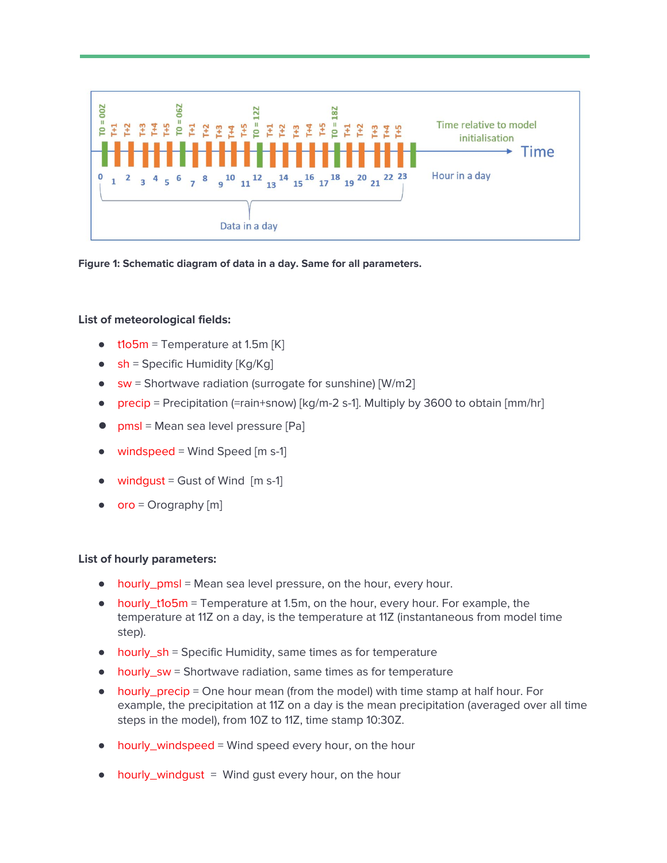

**Figure 1: Schematic diagram of data in a day. Same for all parameters.**

### **List of meteorological fields:**

- $\bullet$  t1o5m = Temperature at 1.5m [K]
- $\bullet$  sh = Specific Humidity [Kg/Kg]
- sw = Shortwave radiation (surrogate for sunshine) [W/m2]
- precip = Precipitation (=rain+snow)  $\lceil \log/m 2 \rceil$ . Multiply by 3600 to obtain  $\lceil mm/hr \rceil$
- **●** pmsl = Mean sea level pressure [Pa]
- windspeed = Wind Speed  $[m s-1]$
- windqust = Gust of Wind  $[m s-1]$
- $\bullet$  oro = Orography [m]

### **List of hourly parameters:**

- hourly\_pmsl = Mean sea level pressure, on the hour, every hour.
- hourly\_t1o5m = Temperature at 1.5m, on the hour, every hour. For example, the temperature at 11Z on a day, is the temperature at 11Z (instantaneous from model time step).
- hourly\_sh = Specific Humidity, same times as for temperature
- hourly\_sw = Shortwave radiation, same times as for temperature
- hourly\_precip = One hour mean (from the model) with time stamp at half hour. For example, the precipitation at 11Z on a day is the mean precipitation (averaged over all time steps in the model), from 10Z to 11Z, time stamp 10:30Z.
- hourly\_windspeed = Wind speed every hour, on the hour
- $\bullet$  hourly\_windqust = Wind qust every hour, on the hour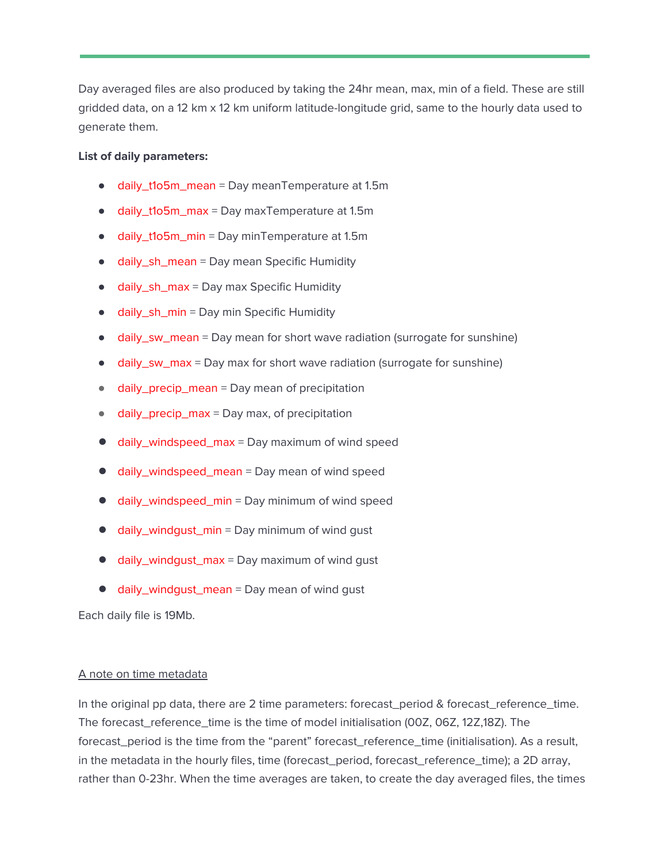Day averaged files are also produced by taking the 24hr mean, max, min of a field. These are still gridded data, on a 12 km x 12 km uniform latitude-longitude grid, same to the hourly data used to generate them.

### **List of daily parameters:**

- daily\_t1o5m\_mean = Day meanTemperature at 1.5m
- daily\_t1o5m\_max = Day maxTemperature at 1.5m
- daily\_t1o5m\_min = Day minTemperature at 1.5m
- daily\_sh\_mean = Day mean Specific Humidity
- daily\_sh\_max = Day max Specific Humidity
- daily\_sh\_min = Day min Specific Humidity
- daily\_sw\_mean = Day mean for short wave radiation (surrogate for sunshine)
- daily\_sw\_max = Day max for short wave radiation (surrogate for sunshine)
- daily\_precip\_mean = Day mean of precipitation
- daily\_precip\_max = Day max, of precipitation
- **●** daily\_windspeed\_max = Day maximum of wind speed
- **●** daily\_windspeed\_mean = Day mean of wind speed
- **●** daily\_windspeed\_min = Day minimum of wind speed
- **●** daily\_windgust\_min = Day minimum of wind gust
- **●** daily\_windgust\_max = Day maximum of wind gust
- **●** daily\_windgust\_mean = Day mean of wind gust

Each daily file is 19Mb.

### A note on time metadata

In the original pp data, there are 2 time parameters: forecast\_period & forecast\_reference\_time. The forecast\_reference\_time is the time of model initialisation (00Z, 06Z, 12Z,18Z). The forecast\_period is the time from the "parent" forecast\_reference\_time (initialisation). As a result, in the metadata in the hourly files, time (forecast\_period, forecast\_reference\_time); a 2D array, rather than 0-23hr. When the time averages are taken, to create the day averaged files, the times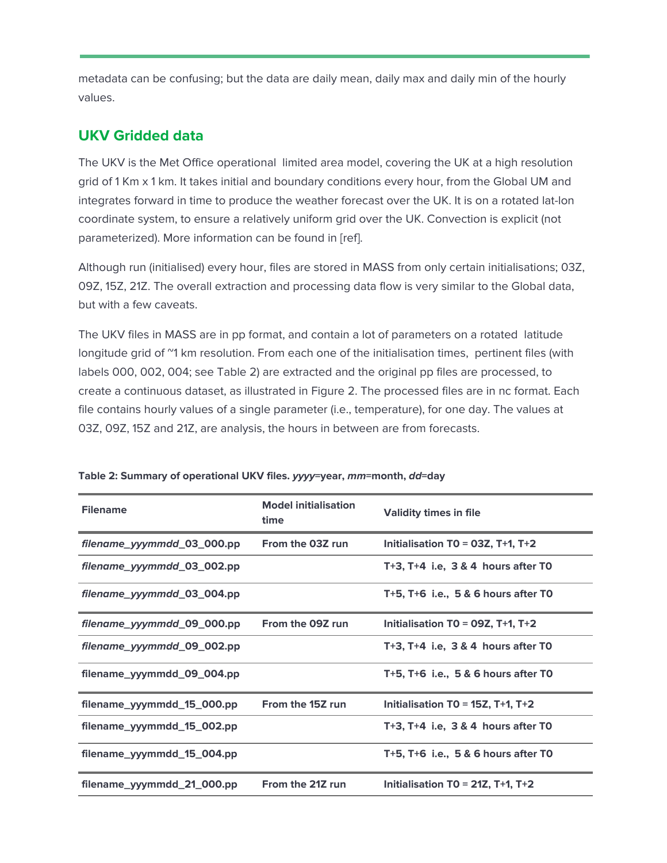metadata can be confusing; but the data are daily mean, daily max and daily min of the hourly values.

## **UKV Gridded data**

The UKV is the Met Office operational limited area model, covering the UK at a high resolution grid of 1 Km x 1 km. It takes initial and boundary conditions every hour, from the Global UM and integrates forward in time to produce the weather forecast over the UK. It is on a rotated lat-lon coordinate system, to ensure a relatively uniform grid over the UK. Convection is explicit (not parameterized). More information can be found in [ref].

Although run (initialised) every hour, files are stored in MASS from only certain initialisations; 03Z, 09Z, 15Z, 21Z. The overall extraction and processing data flow is very similar to the Global data, but with a few caveats.

The UKV files in MASS are in pp format, and contain a lot of parameters on a rotated latitude longitude grid of "1 km resolution. From each one of the initialisation times, pertinent files (with labels 000, 002, 004; see Table 2) are extracted and the original pp files are processed, to create a continuous dataset, as illustrated in Figure 2. The processed files are in nc format. Each file contains hourly values of a single parameter (i.e., temperature), for one day. The values at 03Z, 09Z, 15Z and 21Z, are analysis, the hours in between are from forecasts.

| <b>Filename</b>            | <b>Model initialisation</b><br>time | <b>Validity times in file</b>            |
|----------------------------|-------------------------------------|------------------------------------------|
| filename_yyymmdd_03_000.pp | From the 03Z run                    | Initialisation TO = $03Z$ , T+1, T+2     |
| filename_yyymmdd_03_002.pp |                                     | $T+3$ , $T+4$ i.e. 3 & 4 hours after TO  |
| filename_yyymmdd_03_004.pp |                                     | T+5, $T+6$ i.e., 5 & 6 hours after TO    |
| filename_yyymmdd_09_000.pp | From the 09Z run                    | Initialisation T0 = 09Z, T+1, T+2        |
| filename_yyymmdd_09_002.pp |                                     | $T+3$ , $T+4$ i.e. 3 & 4 hours after TO  |
| filename_yyymmdd_09_004.pp |                                     | T+5, $T+6$ i.e., 5 & 6 hours after TO    |
| filename_yyymmdd_15_000.pp | From the 15Z run                    | Initialisation T0 = $15Z$ , T+1, T+2     |
| filename_yyymmdd_15_002.pp |                                     | T+3, $T+4$ i.e, $3 & 4$ hours after TO   |
| filename_yyymmdd_15_004.pp |                                     | $T+5$ , $T+6$ i.e., 5 & 6 hours after TO |
| filename_yyymmdd_21_000.pp | From the 21Z run                    | Initialisation TO = $21Z$ , T+1, T+2     |

### **Table 2: Summary of operational UKV files. yyyy=year, mm=month, dd=day**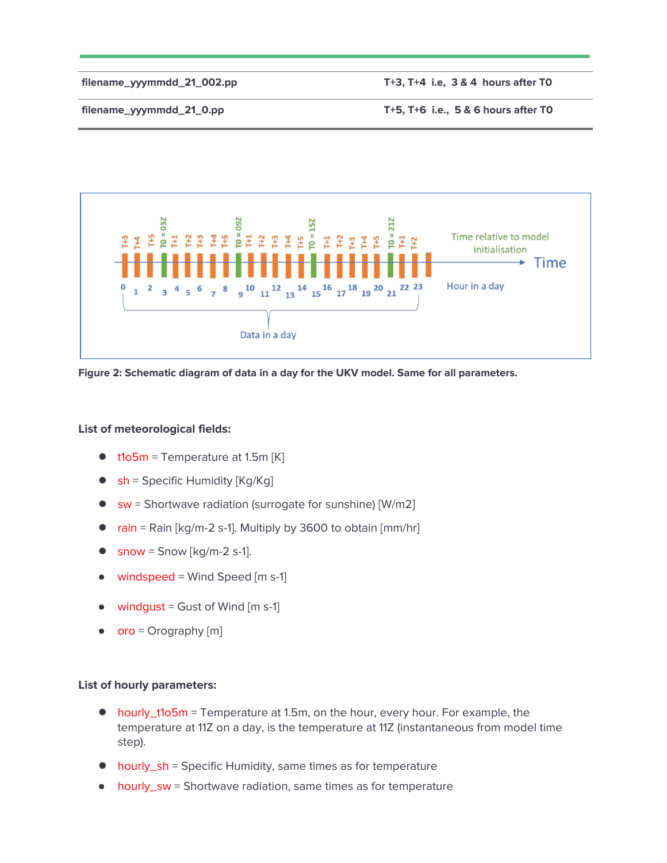**filename\_yyymmdd\_21\_002.pp T+3, T+4 i.e, 3 & 4 hours after T0**

**filename\_yyymmdd\_21\_0.pp T+5, T+6 i.e., 5 & 6 hours after T0**



**Figure 2: Schematic diagram of data in a day for the UKV model. Same for all parameters.**

### **List of meteorological fields:**

- **●** t1o5m = Temperature at 1.5m [K]
- sh = Specific Humidity [Kg/Kg]
- **●** sw = Shortwave radiation (surrogate for sunshine) [W/m2]
- **●** rain = Rain [kg/m-2 s-1]. Multiply by 3600 to obtain [mm/hr]
- **•** snow = Snow [kg/m-2 s-1].
- $\bullet$  windspeed = Wind Speed [m s-1]
- windqust = Gust of Wind  $[m s-1]$
- $\bullet$  oro = Orography [m]

### **List of hourly parameters:**

- **●** hourly\_t1o5m = Temperature at 1.5m, on the hour, every hour. For example, the temperature at 11Z on a day, is the temperature at 11Z (instantaneous from model time step).
- **●** hourly\_sh = Specific Humidity, same times as for temperature
- hourly\_sw = Shortwave radiation, same times as for temperature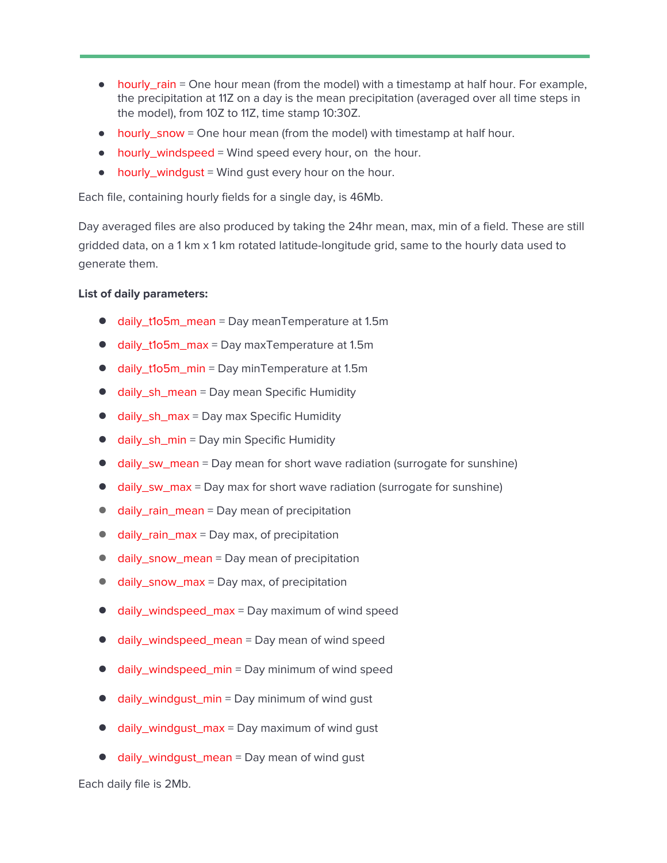- hourly\_rain = One hour mean (from the model) with a timestamp at half hour. For example, the precipitation at 11Z on a day is the mean precipitation (averaged over all time steps in the model), from 10Z to 11Z, time stamp 10:30Z.
- $\bullet$  hourly\_snow = One hour mean (from the model) with timestamp at half hour.
- hourly\_windspeed = Wind speed every hour, on the hour.
- hourly\_windgust = Wind gust every hour on the hour.

Each file, containing hourly fields for a single day, is 46Mb.

Day averaged files are also produced by taking the 24hr mean, max, min of a field. These are still gridded data, on a 1 km x 1 km rotated latitude-longitude grid, same to the hourly data used to generate them.

### **List of daily parameters:**

- **●** daily\_t1o5m\_mean = Day meanTemperature at 1.5m
- **●** daily\_t1o5m\_max = Day maxTemperature at 1.5m
- **●** daily\_t1o5m\_min = Day minTemperature at 1.5m
- **●** daily\_sh\_mean = Day mean Specific Humidity
- **●** daily\_sh\_max = Day max Specific Humidity
- **●** daily\_sh\_min = Day min Specific Humidity
- daily\_sw\_mean = Day mean for short wave radiation (surrogate for sunshine)
- daily\_sw\_max = Day max for short wave radiation (surrogate for sunshine)
- **●** daily\_rain\_mean = Day mean of precipitation
- **daily\_rain\_max** = Day max, of precipitation
- daily\_snow\_mean = Day mean of precipitation
- **●** daily\_snow\_max = Day max, of precipitation
- **●** daily\_windspeed\_max = Day maximum of wind speed
- daily\_windspeed\_mean = Day mean of wind speed
- daily\_windspeed\_min = Day minimum of wind speed
- daily\_windgust\_min = Day minimum of wind gust
- **●** daily\_windgust\_max = Day maximum of wind gust
- **●** daily\_windgust\_mean = Day mean of wind gust

Each daily file is 2Mb.